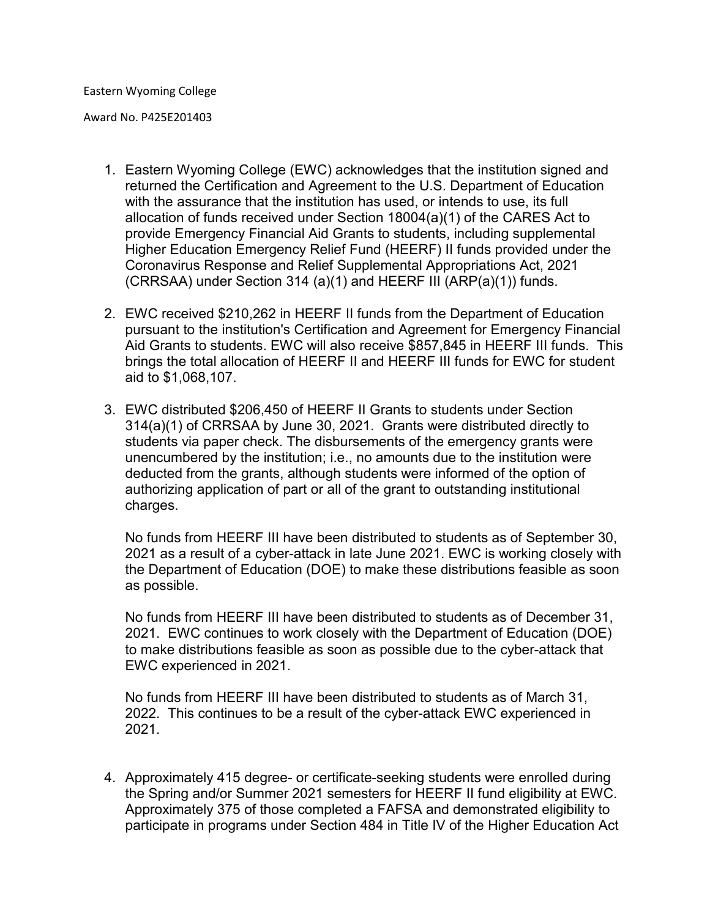Award No. P425E201403

- 1. Eastern Wyoming College (EWC) acknowledges that the institution signed and returned the Certification and Agreement to the U.S. Department of Education with the assurance that the institution has used, or intends to use, its full allocation of funds received under Section 18004(a)(1) of the CARES Act to provide Emergency Financial Aid Grants to students, including supplemental Higher Education Emergency Relief Fund (HEERF) II funds provided under the Coronavirus Response and Relief Supplemental Appropriations Act, 2021 (CRRSAA) under Section 314 (a)(1) and HEERF III (ARP(a)(1)) funds.
- 2. EWC received \$210,262 in HEERF II funds from the Department of Education pursuant to the institution's Certification and Agreement for Emergency Financial Aid Grants to students. EWC will also receive \$857,845 in HEERF III funds. This brings the total allocation of HEERF II and HEERF III funds for EWC for student aid to \$1,068,107.
- 3. EWC distributed \$206,450 of HEERF II Grants to students under Section 314(a)(1) of CRRSAA by June 30, 2021. Grants were distributed directly to students via paper check. The disbursements of the emergency grants were unencumbered by the institution; i.e., no amounts due to the institution were deducted from the grants, although students were informed of the option of authorizing application of part or all of the grant to outstanding institutional charges.

No funds from HEERF III have been distributed to students as of September 30, 2021 as a result of a cyber-attack in late June 2021. EWC is working closely with the Department of Education (DOE) to make these distributions feasible as soon as possible.

No funds from HEERF III have been distributed to students as of December 31, 2021. EWC continues to work closely with the Department of Education (DOE) to make distributions feasible as soon as possible due to the cyber-attack that EWC experienced in 2021.

No funds from HEERF III have been distributed to students as of March 31, 2022. This continues to be a result of the cyber-attack EWC experienced in 2021.

4. Approximately 415 degree- or certificate-seeking students were enrolled during the Spring and/or Summer 2021 semesters for HEERF II fund eligibility at EWC. Approximately 375 of those completed a FAFSA and demonstrated eligibility to participate in programs under Section 484 in Title IV of the Higher Education Act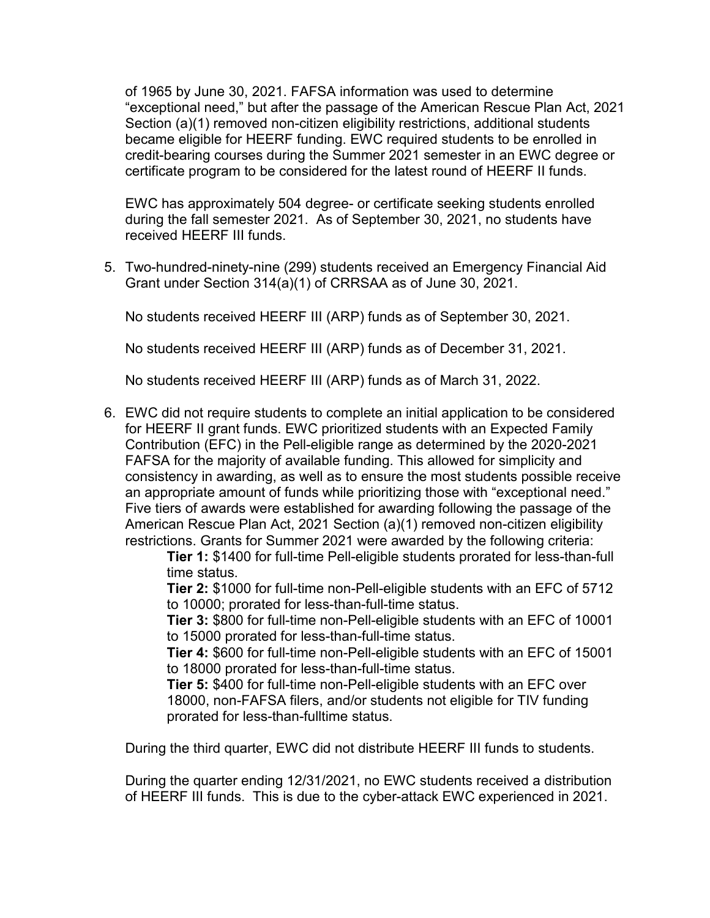of 1965 by June 30, 2021. FAFSA information was used to determine "exceptional need," but after the passage of the American Rescue Plan Act, 2021 Section (a)(1) removed non-citizen eligibility restrictions, additional students became eligible for HEERF funding. EWC required students to be enrolled in credit-bearing courses during the Summer 2021 semester in an EWC degree or certificate program to be considered for the latest round of HEERF II funds.

EWC has approximately 504 degree- or certificate seeking students enrolled during the fall semester 2021. As of September 30, 2021, no students have received HEERF III funds.

5. Two-hundred-ninety-nine (299) students received an Emergency Financial Aid Grant under Section 314(a)(1) of CRRSAA as of June 30, 2021.

No students received HEERF III (ARP) funds as of September 30, 2021.

No students received HEERF III (ARP) funds as of December 31, 2021.

No students received HEERF III (ARP) funds as of March 31, 2022.

6. EWC did not require students to complete an initial application to be considered for HEERF II grant funds. EWC prioritized students with an Expected Family Contribution (EFC) in the Pell-eligible range as determined by the 2020-2021 FAFSA for the majority of available funding. This allowed for simplicity and consistency in awarding, as well as to ensure the most students possible receive an appropriate amount of funds while prioritizing those with "exceptional need." Five tiers of awards were established for awarding following the passage of the American Rescue Plan Act, 2021 Section (a)(1) removed non-citizen eligibility restrictions. Grants for Summer 2021 were awarded by the following criteria:

> **Tier 1:** \$1400 for full-time Pell-eligible students prorated for less-than-full time status.

> **Tier 2:** \$1000 for full-time non-Pell-eligible students with an EFC of 5712 to 10000; prorated for less-than-full-time status.

> **Tier 3:** \$800 for full-time non-Pell-eligible students with an EFC of 10001 to 15000 prorated for less-than-full-time status.

> **Tier 4:** \$600 for full-time non-Pell-eligible students with an EFC of 15001 to 18000 prorated for less-than-full-time status.

**Tier 5:** \$400 for full-time non-Pell-eligible students with an EFC over 18000, non-FAFSA filers, and/or students not eligible for TIV funding prorated for less-than-fulltime status.

During the third quarter, EWC did not distribute HEERF III funds to students.

During the quarter ending 12/31/2021, no EWC students received a distribution of HEERF III funds. This is due to the cyber-attack EWC experienced in 2021.